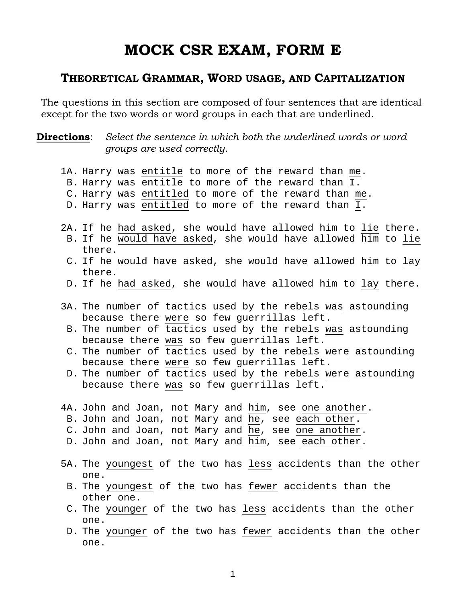# **MOCK CSR EXAM, FORM E**

## **THEORETICAL GRAMMAR, WORD USAGE, AND CAPITALIZATION**

The questions in this section are composed of four sentences that are identical except for the two words or word groups in each that are underlined.

**Directions**: Select the sentence in which both the underlined words or word *groups are used correctly.* 

| 1A. Harry was entitle to more of the reward than me.<br>B. Harry was entitle to more of the reward than I.<br>C. Harry was entitled to more of the reward than me.<br>D. Harry was entitled to more of the reward than I.                                                                                                                                                                                                                     |
|-----------------------------------------------------------------------------------------------------------------------------------------------------------------------------------------------------------------------------------------------------------------------------------------------------------------------------------------------------------------------------------------------------------------------------------------------|
| 2A. If he had asked, she would have allowed him to lie there.<br>B. If he would have asked, she would have allowed him to lie<br>there.                                                                                                                                                                                                                                                                                                       |
| C. If he would have asked, she would have allowed him to lay<br>there.                                                                                                                                                                                                                                                                                                                                                                        |
| D. If he had asked, she would have allowed him to lay there.                                                                                                                                                                                                                                                                                                                                                                                  |
| 3A. The number of tactics used by the rebels was astounding<br>because there were so few querrillas left.<br>B. The number of tactics used by the rebels was astounding<br>because there was so few querrillas left.<br>C. The number of tactics used by the rebels were astounding<br>because there were so few guerrillas left.<br>D. The number of tactics used by the rebels were astounding<br>because there was so few guerrillas left. |
| 4A. John and Joan, not Mary and him, see one another.<br>B. John and Joan, not Mary and he, see each other.<br>C. John and Joan, not Mary and he, see one another.<br>D. John and Joan, not Mary and him, see each other.                                                                                                                                                                                                                     |
| 5A. The youngest of the two has less accidents than the other                                                                                                                                                                                                                                                                                                                                                                                 |
| one.<br>B. The youngest of the two has fewer accidents than the<br>other one.                                                                                                                                                                                                                                                                                                                                                                 |
| C. The younger of the two has less accidents than the other<br>one.                                                                                                                                                                                                                                                                                                                                                                           |
| D. The younger of the two has fewer accidents than the other                                                                                                                                                                                                                                                                                                                                                                                  |

1

one.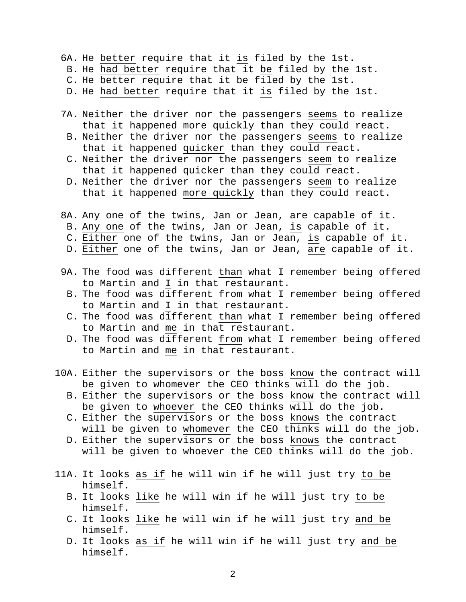- 6A. He better require that it is filed by the 1st.
- B. He had better require that it be filed by the 1st.
- C. He better require that it be filed by the 1st.
- D. He had better require that it is filed by the 1st.
- 7A. Neither the driver nor the passengers seems to realize that it happened more quickly than they could react.
- B. Neither the driver nor the passengers seems to realize that it happened quicker than they could react.
- C. Neither the driver nor the passengers seem to realize that it happened quicker than they could react.
- D. Neither the driver nor the passengers seem to realize that it happened more quickly than they could react.
- 8A. Any one of the twins, Jan or Jean, are capable of it.
- B. Any one of the twins, Jan or Jean, is capable of it.
- C. Either one of the twins, Jan or Jean, is capable of it.
- D. Either one of the twins, Jan or Jean, are capable of it.
- 9A. The food was different than what I remember being offered to Martin and I in that restaurant.
- B. The food was different from what I remember being offered to Martin and I in that restaurant.
- C. The food was different than what I remember being offered to Martin and me in that restaurant.
- D. The food was different from what I remember being offered to Martin and me in that restaurant.
- 10A. Either the supervisors or the boss know the contract will be given to whomever the CEO thinks will do the job.
	- B. Either the supervisors or the boss know the contract will be given to whoever the CEO thinks will do the job.
	- C. Either the supervisors or the boss knows the contract will be given to whomever the CEO thinks will do the job.
	- D. Either the supervisors or the boss knows the contract will be given to whoever the CEO thinks will do the job.
- 11A. It looks as if he will win if he will just try to be himself.
	- B. It looks like he will win if he will just try to be himself.
	- C. It looks like he will win if he will just try and be himself.
	- D. It looks as if he will win if he will just try and be himself.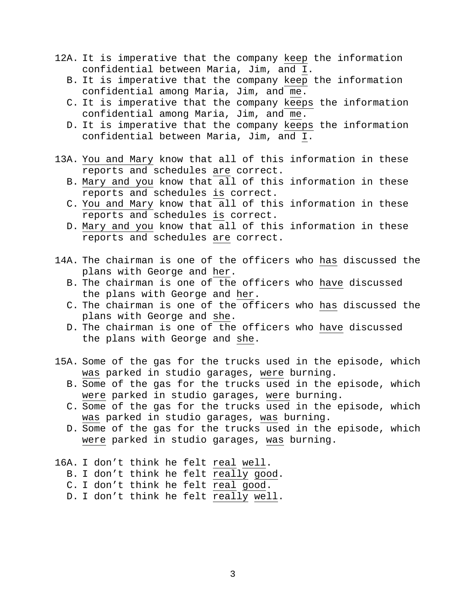- 12A. It is imperative that the company keep the information confidential between Maria, Jim, and I.
	- B. It is imperative that the company keep the information confidential among Maria, Jim, and me.
	- C. It is imperative that the company keeps the information confidential among Maria, Jim, and me.
	- D. It is imperative that the company keeps the information confidential between Maria, Jim, and I.
- 13A. You and Mary know that all of this information in these reports and schedules are correct.
	- B. Mary and you know that all of this information in these reports and schedules is correct.
	- C. You and Mary know that all of this information in these reports and schedules is correct.
	- D. Mary and you know that all of this information in these reports and schedules are correct.
- 14A. The chairman is one of the officers who has discussed the plans with George and her.
	- B. The chairman is one of the officers who have discussed the plans with George and her.
	- C. The chairman is one of the officers who has discussed the plans with George and she.
	- D. The chairman is one of the officers who have discussed the plans with George and she.
- 15A. Some of the gas for the trucks used in the episode, which was parked in studio garages, were burning.
	- B. Some of the gas for the trucks used in the episode, which were parked in studio garages, were burning.
	- C. Some of the gas for the trucks used in the episode, which was parked in studio garages, was burning.
	- D. Some of the gas for the trucks used in the episode, which were parked in studio garages, was burning.
- 16A. I don't think he felt real well.
	- B. I don't think he felt really good.
	- C. I don't think he felt real good.
	- D. I don't think he felt really well.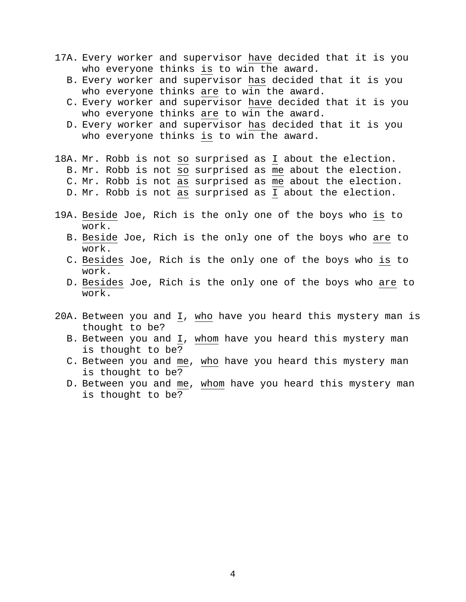- 17A. Every worker and supervisor have decided that it is you who everyone thinks is to win the award.
	- B. Every worker and supervisor has decided that it is you who everyone thinks are to win the award.
	- C. Every worker and supervisor have decided that it is you who everyone thinks are to win the award.
	- D. Every worker and supervisor has decided that it is you who everyone thinks is to win the award.
- 18A. Mr. Robb is not so surprised as I about the election.
	- B. Mr. Robb is not so surprised as me about the election.
	- C. Mr. Robb is not as surprised as me about the election.
	- D. Mr. Robb is not as surprised as I about the election.
- 19A. Beside Joe, Rich is the only one of the boys who is to work.
	- B. Beside Joe, Rich is the only one of the boys who are to work.
	- C. Besides Joe, Rich is the only one of the boys who is to work.
	- D. Besides Joe, Rich is the only one of the boys who are to work.
- 20A. Between you and I, who have you heard this mystery man is thought to be?
	- B. Between you and I, whom have you heard this mystery man is thought to be?
	- C. Between you and me, who have you heard this mystery man is thought to be?
	- D. Between you and me, whom have you heard this mystery man is thought to be?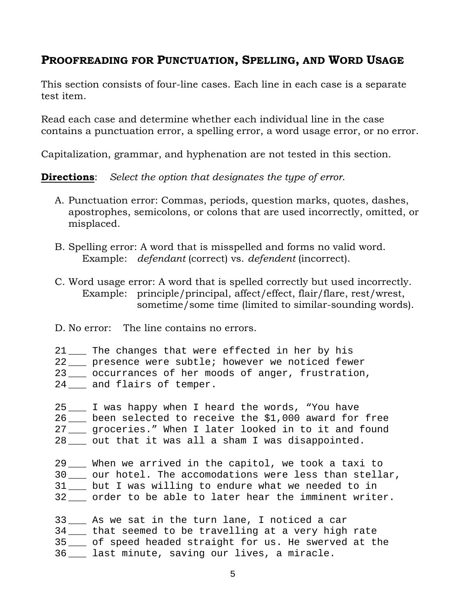# **PROOFREADING FOR PUNCTUATION, SPELLING, AND WORD USAGE**

This section consists of four-line cases. Each line in each case is a separate test item.

Read each case and determine whether each individual line in the case contains a punctuation error, a spelling error, a word usage error, or no error.

Capitalization, grammar, and hyphenation are not tested in this section.

**Directions**: *Select the option that designates the type of error*.

- A. Punctuation error: Commas, periods, question marks, quotes, dashes, apostrophes, semicolons, or colons that are used incorrectly, omitted, or misplaced.
- B. Spelling error: A word that is misspelled and forms no valid word. Example: *defendant* (correct) vs. *defendent* (incorrect).
- C. Word usage error: A word that is spelled correctly but used incorrectly. Example: principle/principal, affect/effect, flair/flare, rest/wrest, sometime/some time (limited to similar-sounding words).
- D. No error: The line contains no errors.
- 21 \_\_\_ The changes that were effected in her by his
- 22 \_\_\_ presence were subtle; however we noticed fewer
- 23 \_\_\_ occurrances of her moods of anger, frustration,
- 24 \_\_\_ and flairs of temper.
- 25 \_\_\_ I was happy when I heard the words, "You have 26 been selected to receive the \$1,000 award for free 27 \_\_\_ groceries." When I later looked in to it and found 28 \_\_\_ out that it was all a sham I was disappointed.
- 29 \_\_\_ When we arrived in the capitol, we took a taxi to 30 \_\_\_ our hotel. The accomodations were less than stellar, 31 \_\_\_ but I was willing to endure what we needed to in 32 \_\_\_ order to be able to later hear the imminent writer.

33 \_\_\_ As we sat in the turn lane, I noticed a car 34 \_\_\_ that seemed to be travelling at a very high rate 35 \_\_\_ of speed headed straight for us. He swerved at the 36 \_\_\_ last minute, saving our lives, a miracle.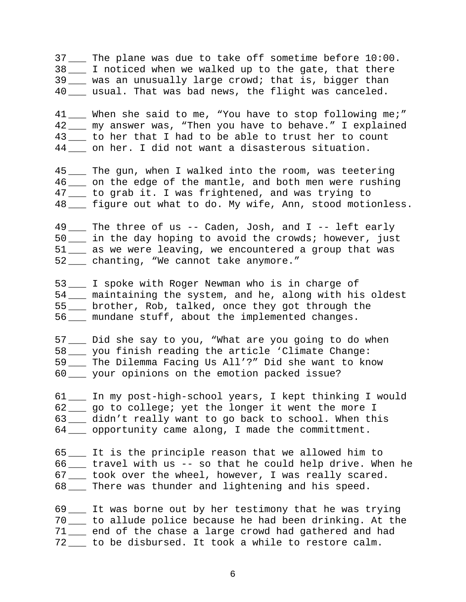37 \_\_\_ The plane was due to take off sometime before 10:00. 38 \_\_\_ I noticed when we walked up to the gate, that there 39 \_\_\_ was an unusually large crowd; that is, bigger than 40 \_\_\_ usual. That was bad news, the flight was canceled.

41 \_\_\_ When she said to me, "You have to stop following me;" 42 \_\_\_ my answer was, "Then you have to behave." I explained 43 \_\_\_ to her that I had to be able to trust her to count 44 on her. I did not want a disasterous situation.

45 \_\_\_ The gun, when I walked into the room, was teetering 46 \_\_\_ on the edge of the mantle, and both men were rushing 47 \_\_\_ to grab it. I was frightened, and was trying to 48 \_\_\_ figure out what to do. My wife, Ann, stood motionless.

49 \_\_\_ The three of us -- Caden, Josh, and I -- left early 50 \_\_\_ in the day hoping to avoid the crowds; however, just 51 \_\_\_ as we were leaving, we encountered a group that was 52 \_\_\_ chanting, "We cannot take anymore."

53 \_\_\_ I spoke with Roger Newman who is in charge of 54 \_\_\_ maintaining the system, and he, along with his oldest 55 \_\_\_ brother, Rob, talked, once they got through the 56 \_\_\_ mundane stuff, about the implemented changes.

57 \_\_\_ Did she say to you, "What are you going to do when 58 \_\_\_ you finish reading the article 'Climate Change: 59 \_\_\_ The Dilemma Facing Us All'?" Did she want to know 60 \_\_\_ your opinions on the emotion packed issue?

61 \_\_\_ In my post-high-school years, I kept thinking I would 62 \_\_\_ go to college; yet the longer it went the more I 63 \_\_\_ didn't really want to go back to school. When this 64 \_\_\_ opportunity came along, I made the committment.

65 \_\_\_ It is the principle reason that we allowed him to 66 \_\_\_ travel with us -- so that he could help drive. When he 67 \_\_\_ took over the wheel, however, I was really scared. 68 \_\_\_ There was thunder and lightening and his speed.

69 \_\_\_ It was borne out by her testimony that he was trying 70 \_\_\_ to allude police because he had been drinking. At the 71 \_\_\_ end of the chase a large crowd had gathered and had 72 \_\_\_ to be disbursed. It took a while to restore calm.

6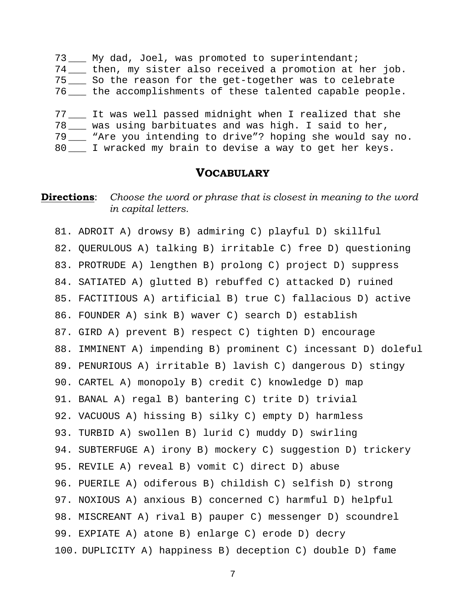73 \_\_\_ My dad, Joel, was promoted to superintendant; 74 \_\_\_ then, my sister also received a promotion at her job. 75 \_\_\_ So the reason for the get-together was to celebrate 76 \_\_\_ the accomplishments of these talented capable people. 77 \_\_\_ It was well passed midnight when I realized that she 78 was using barbituates and was high. I said to her, 79 \_\_\_ "Are you intending to drive"? hoping she would say no. 80 \_\_\_ I wracked my brain to devise a way to get her keys.

#### **VOCABULARY**

### **Directions**: Choose the word or phrase that is closest in meaning to the word *in capital letters.*

81. ADROIT A) drowsy B) admiring C) playful D) skillful 82. QUERULOUS A) talking B) irritable C) free D) questioning 83. PROTRUDE A) lengthen B) prolong C) project D) suppress 84. SATIATED A) glutted B) rebuffed C) attacked D) ruined 85. FACTITIOUS A) artificial B) true C) fallacious D) active 86. FOUNDER A) sink B) waver C) search D) establish 87. GIRD A) prevent B) respect C) tighten D) encourage 88. IMMINENT A) impending B) prominent C) incessant D) doleful 89. PENURIOUS A) irritable B) lavish C) dangerous D) stingy 90. CARTEL A) monopoly B) credit C) knowledge D) map 91. BANAL A) regal B) bantering C) trite D) trivial 92. VACUOUS A) hissing B) silky C) empty D) harmless 93. TURBID A) swollen B) lurid C) muddy D) swirling 94. SUBTERFUGE A) irony B) mockery C) suggestion D) trickery 95. REVILE A) reveal B) vomit C) direct D) abuse 96. PUERILE A) odiferous B) childish C) selfish D) strong 97. NOXIOUS A) anxious B) concerned C) harmful D) helpful 98. MISCREANT A) rival B) pauper C) messenger D) scoundrel 99. EXPIATE A) atone B) enlarge C) erode D) decry 100. DUPLICITY A) happiness B) deception C) double D) fame

7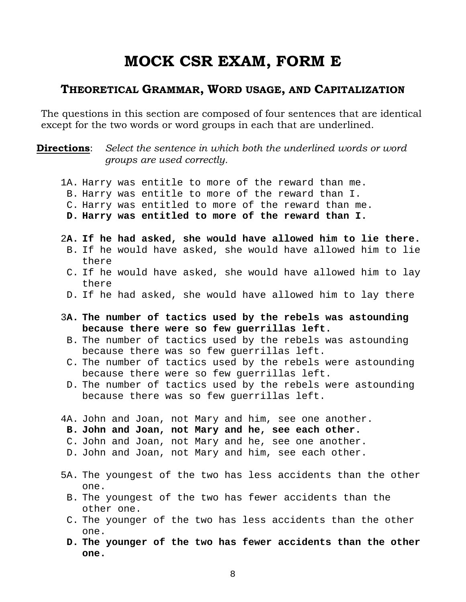# **MOCK CSR EXAM, FORM E**

## **THEORETICAL GRAMMAR, WORD USAGE, AND CAPITALIZATION**

The questions in this section are composed of four sentences that are identical except for the two words or word groups in each that are underlined.

**Directions**: Select the sentence in which both the underlined words or word *groups are used correctly.* 

- 1A. Harry was entitle to more of the reward than me.
- B. Harry was entitle to more of the reward than I.
- C. Harry was entitled to more of the reward than me.
- **D. Harry was entitled to more of the reward than I.**
- 2**A. If he had asked, she would have allowed him to lie there.**  B. If he would have asked, she would have allowed him to lie there
- C. If he would have asked, she would have allowed him to lay there
- D. If he had asked, she would have allowed him to lay there
- 3**A. The number of tactics used by the rebels was astounding because there were so few guerrillas left.**
- B. The number of tactics used by the rebels was astounding because there was so few guerrillas left.
- C. The number of tactics used by the rebels were astounding because there were so few guerrillas left.
- D. The number of tactics used by the rebels were astounding because there was so few guerrillas left.
- 4A. John and Joan, not Mary and him, see one another.
- **B. John and Joan, not Mary and he, see each other.**
- C. John and Joan, not Mary and he, see one another.
- D. John and Joan, not Mary and him, see each other.
- 5A. The youngest of the two has less accidents than the other one.
- B. The youngest of the two has fewer accidents than the other one.
- C. The younger of the two has less accidents than the other one.
- **D. The younger of the two has fewer accidents than the other one.**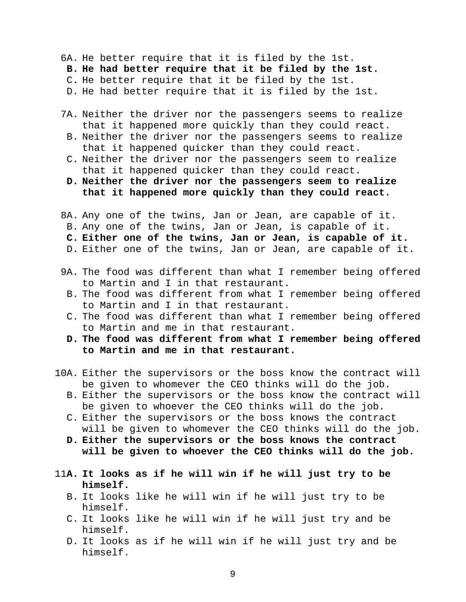6A. He better require that it is filed by the 1st.

- **B. He had better require that it be filed by the 1st.**
- C. He better require that it be filed by the 1st.

D. He had better require that it is filed by the 1st.

- 7A. Neither the driver nor the passengers seems to realize that it happened more quickly than they could react.
- B. Neither the driver nor the passengers seems to realize that it happened quicker than they could react.
- C. Neither the driver nor the passengers seem to realize that it happened quicker than they could react.
- **D. Neither the driver nor the passengers seem to realize that it happened more quickly than they could react.**
- 8A. Any one of the twins, Jan or Jean, are capable of it. B. Any one of the twins, Jan or Jean, is capable of it. **C. Either one of the twins, Jan or Jean, is capable of it.**  D. Either one of the twins, Jan or Jean, are capable of it.
- 9A. The food was different than what I remember being offered to Martin and I in that restaurant.
	- B. The food was different from what I remember being offered to Martin and I in that restaurant.
	- C. The food was different than what I remember being offered to Martin and me in that restaurant.
	- **D. The food was different from what I remember being offered to Martin and me in that restaurant.**
- 10A. Either the supervisors or the boss know the contract will be given to whomever the CEO thinks will do the job.
	- B. Either the supervisors or the boss know the contract will be given to whoever the CEO thinks will do the job.
	- C. Either the supervisors or the boss knows the contract will be given to whomever the CEO thinks will do the job.
	- **D. Either the supervisors or the boss knows the contract will be given to whoever the CEO thinks will do the job.**
- 11**A. It looks as if he will win if he will just try to be himself.** 
	- B. It looks like he will win if he will just try to be himself.
	- C. It looks like he will win if he will just try and be himself.
	- D. It looks as if he will win if he will just try and be himself.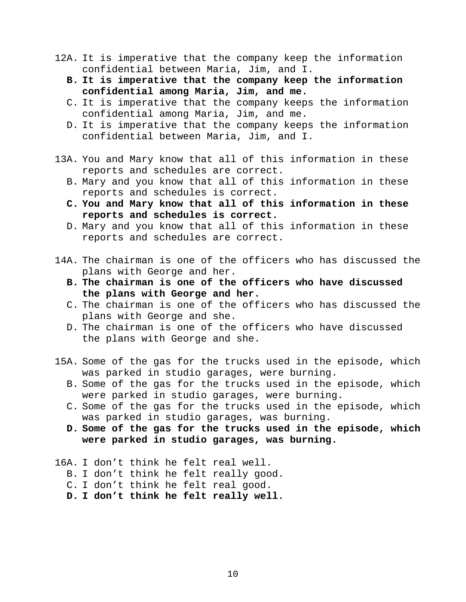- 12A. It is imperative that the company keep the information confidential between Maria, Jim, and I.
	- **B. It is imperative that the company keep the information confidential among Maria, Jim, and me.**
	- C. It is imperative that the company keeps the information confidential among Maria, Jim, and me.
	- D. It is imperative that the company keeps the information confidential between Maria, Jim, and I.
- 13A. You and Mary know that all of this information in these reports and schedules are correct.
	- B. Mary and you know that all of this information in these reports and schedules is correct.
	- **C. You and Mary know that all of this information in these reports and schedules is correct.**
	- D. Mary and you know that all of this information in these reports and schedules are correct.
- 14A. The chairman is one of the officers who has discussed the plans with George and her.
	- **B. The chairman is one of the officers who have discussed the plans with George and her.**
	- C. The chairman is one of the officers who has discussed the plans with George and she.
	- D. The chairman is one of the officers who have discussed the plans with George and she.
- 15A. Some of the gas for the trucks used in the episode, which was parked in studio garages, were burning.
	- B. Some of the gas for the trucks used in the episode, which were parked in studio garages, were burning.
	- C. Some of the gas for the trucks used in the episode, which was parked in studio garages, was burning.
	- **D. Some of the gas for the trucks used in the episode, which were parked in studio garages, was burning.**
- 16A. I don't think he felt real well.
	- B. I don't think he felt really good.
	- C. I don't think he felt real good.
	- **D. I don't think he felt really well.**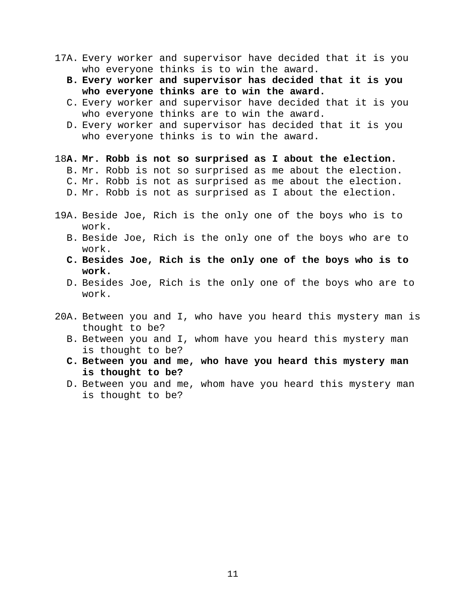- 17A. Every worker and supervisor have decided that it is you who everyone thinks is to win the award.
	- **B. Every worker and supervisor has decided that it is you who everyone thinks are to win the award.**
	- C. Every worker and supervisor have decided that it is you who everyone thinks are to win the award.
	- D. Every worker and supervisor has decided that it is you who everyone thinks is to win the award.
- 18**A. Mr. Robb is not so surprised as I about the election.** 
	- B. Mr. Robb is not so surprised as me about the election.
	- C. Mr. Robb is not as surprised as me about the election.
	- D. Mr. Robb is not as surprised as I about the election.
- 19A. Beside Joe, Rich is the only one of the boys who is to work.
	- B. Beside Joe, Rich is the only one of the boys who are to work.
	- **C. Besides Joe, Rich is the only one of the boys who is to work.**
	- D. Besides Joe, Rich is the only one of the boys who are to work.
- 20A. Between you and I, who have you heard this mystery man is thought to be?
	- B. Between you and I, whom have you heard this mystery man is thought to be?
	- **C. Between you and me, who have you heard this mystery man is thought to be?**
	- D. Between you and me, whom have you heard this mystery man is thought to be?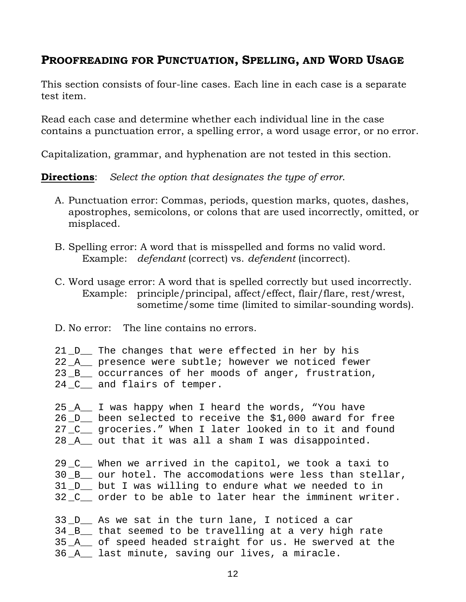# **PROOFREADING FOR PUNCTUATION, SPELLING, AND WORD USAGE**

This section consists of four-line cases. Each line in each case is a separate test item.

Read each case and determine whether each individual line in the case contains a punctuation error, a spelling error, a word usage error, or no error.

Capitalization, grammar, and hyphenation are not tested in this section.

**Directions**: *Select the option that designates the type of error*.

- A. Punctuation error: Commas, periods, question marks, quotes, dashes, apostrophes, semicolons, or colons that are used incorrectly, omitted, or misplaced.
- B. Spelling error: A word that is misspelled and forms no valid word. Example: *defendant* (correct) vs. *defendent* (incorrect).
- C. Word usage error: A word that is spelled correctly but used incorrectly. Example: principle/principal, affect/effect, flair/flare, rest/wrest, sometime/some time (limited to similar-sounding words).
- D. No error: The line contains no errors.
- 21\_D\_\_ The changes that were effected in her by his 22 \_A\_\_ presence were subtle; however we noticed fewer 23 \_B\_\_ occurrances of her moods of anger, frustration, 24 \_C\_\_ and flairs of temper.
- 25 \_A\_\_ I was happy when I heard the words, "You have 26 D been selected to receive the \$1,000 award for free 27 \_C\_\_ groceries." When I later looked in to it and found 28 \_A\_\_ out that it was all a sham I was disappointed.

29 \_C\_\_ When we arrived in the capitol, we took a taxi to 30 B our hotel. The accomodations were less than stellar, 31 \_D\_\_ but I was willing to endure what we needed to in 32 \_C\_\_ order to be able to later hear the imminent writer.

33 \_D\_\_ As we sat in the turn lane, I noticed a car 34 B that seemed to be travelling at a very high rate 35 \_A\_\_ of speed headed straight for us. He swerved at the 36 \_A\_\_ last minute, saving our lives, a miracle.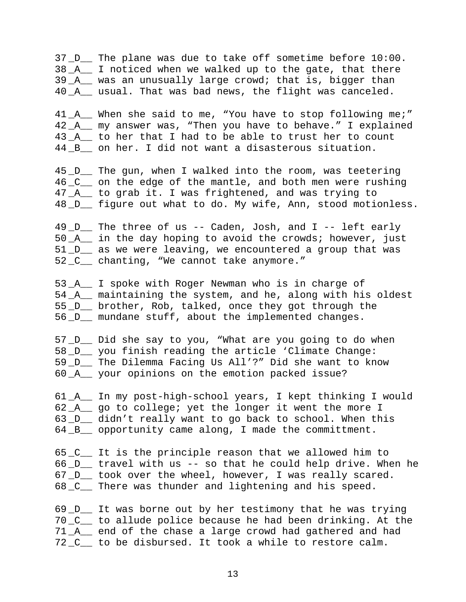37 \_D\_\_ The plane was due to take off sometime before 10:00. 38 A I noticed when we walked up to the gate, that there 39 \_A\_\_ was an unusually large crowd; that is, bigger than 40 \_A\_\_ usual. That was bad news, the flight was canceled.

41\_A\_\_ When she said to me, "You have to stop following me;" 42 A my answer was, "Then you have to behave." I explained 43 A \_ to her that I had to be able to trust her to count 44 B on her. I did not want a disasterous situation.

45 \_D\_\_ The gun, when I walked into the room, was teetering 46 \_C\_\_ on the edge of the mantle, and both men were rushing 47 \_A\_\_ to grab it. I was frightened, and was trying to 48 \_D\_\_ figure out what to do. My wife, Ann, stood motionless.

49 \_D\_\_ The three of us -- Caden, Josh, and I -- left early  $50$   $A$  in the day hoping to avoid the crowds; however, just 51 \_D\_\_ as we were leaving, we encountered a group that was 52 \_C\_\_ chanting, "We cannot take anymore."

53 \_A\_\_ I spoke with Roger Newman who is in charge of 54 \_A\_\_ maintaining the system, and he, along with his oldest 55 D brother, Rob, talked, once they got through the 56 \_D\_\_ mundane stuff, about the implemented changes.

57 \_D\_\_ Did she say to you, "What are you going to do when 58 \_D\_\_ you finish reading the article 'Climate Change: 59 \_D\_\_ The Dilemma Facing Us All'?" Did she want to know 60 \_A\_\_ your opinions on the emotion packed issue?

61 \_A\_\_ In my post-high-school years, I kept thinking I would 62 \_A\_\_ go to college; yet the longer it went the more I 63 D didn't really want to go back to school. When this 64 \_B\_\_ opportunity came along, I made the committment.

65 \_C\_\_ It is the principle reason that we allowed him to 66 \_D\_\_ travel with us -- so that he could help drive. When he 67 \_D\_\_ took over the wheel, however, I was really scared. 68 \_C\_\_ There was thunder and lightening and his speed.

69 \_D\_\_ It was borne out by her testimony that he was trying 70 \_C\_\_ to allude police because he had been drinking. At the 71 A end of the chase a large crowd had gathered and had 72 \_C\_\_ to be disbursed. It took a while to restore calm.